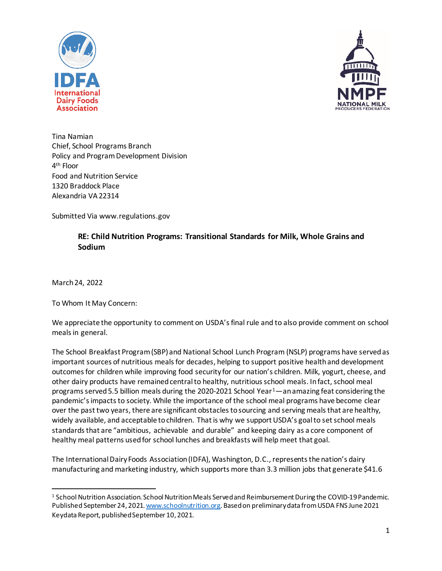



Tina Namian Chief, School Programs Branch Policy and Program Development Division 4th Floor Food and Nutrition Service 1320 Braddock Place Alexandria VA 22314

Submitted Via www.regulations.gov

# **RE: Child Nutrition Programs: Transitional Standards for Milk, Whole Grains and Sodium**

March 24, 2022

To Whom It May Concern:

We appreciate the opportunity to comment on USDA's final rule and to also provide comment on school meals in general.

The School Breakfast Program (SBP) and National School Lunch Program (NSLP) programs have served as important sources of nutritious meals for decades, helping to support positive health and development outcomes for children while improving food security for our nation's children. Milk, yogurt, cheese, and other dairy products have remained central to healthy, nutritious school meals. In fact, school meal programs served 5.5 billion meals during the 2020-202[1](#page-0-0) School Year $1$ —an amazing feat considering the pandemic's impacts to society. While the importance of the school meal programs have become clear over the past two years, there are significant obstacles to sourcing and serving meals that are healthy, widely available, and acceptable to children. That is why we support USDA's goal to set school meals standards that are "ambitious, achievable and durable" and keeping dairy as a core component of healthy meal patterns used for school lunches and breakfasts will help meet that goal.

The International Dairy Foods Association (IDFA), Washington, D.C., represents the nation's dairy manufacturing and marketing industry, which supports more than 3.3 million jobs that generate \$41.6

<span id="page-0-0"></span><sup>1</sup> School Nutrition Association. School Nutrition Meals Served and Reimbursement During the COVID-19 Pandemic. Published September 24, 2021[. www.schoolnutrition.org](http://www.schoolnutrition.org/). Based on preliminary data from USDA FNS June 2021 Keydata Report, published September 10, 2021.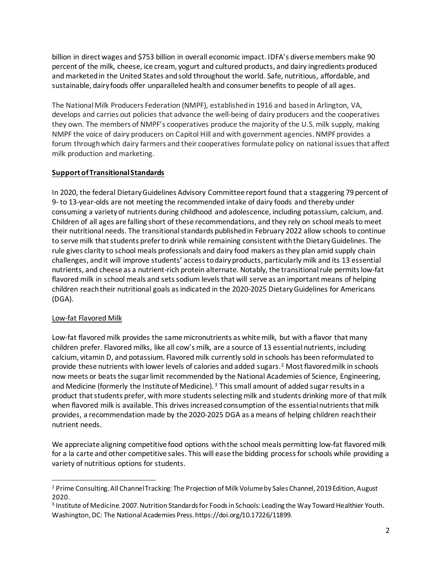billion in direct wages and \$753 billion in overall economic impact. IDFA's diverse members make 90 percent of the milk, cheese, ice cream, yogurt and cultured products, and dairy ingredients produced and marketed in the United States and sold throughout the world. Safe, nutritious, affordable, and sustainable, dairy foods offer unparalleled health and consumer benefits to people of all ages.

The National Milk Producers Federation (NMPF), established in 1916 and based in Arlington, VA, develops and carries out policies that advance the well-being of dairy producers and the cooperatives they own. The members of NMPF's cooperatives produce the majority of the U.S. milk supply, making NMPF the voice of dairy producers on Capitol Hill and with government agencies. NMPF provides a forum through which dairy farmers and their cooperatives formulate policy on national issues that affect milk production and marketing.

# **Support of Transitional Standards**

In 2020, the federal Dietary Guidelines Advisory Committee report found that a staggering 79 percent of 9- to 13-year-olds are not meeting the recommended intake of dairy foods and thereby under consuming a variety of nutrients during childhood and adolescence, including potassium, calcium, and. Children of all ages are falling short of these recommendations, and they rely on school meals to meet their nutritional needs. The transitional standards publishedin February 2022 allow schools to continue to serve milk that students prefer to drink while remaining consistent with the Dietary Guidelines. The rule gives clarity to school meals professionals and dairy food makers as they plan amid supply chain challenges, and it will improve students' access to dairy products, particularly milk and its 13 essential nutrients, and cheese as a nutrient-rich protein alternate. Notably, the transitional rule permits low-fat flavored milk in school meals and sets sodium levels that will serve as an important means of helping children reach their nutritional goals as indicated in the 2020-2025 Dietary Guidelines for Americans (DGA).

# Low-fat Flavored Milk

Low-fat flavored milk provides the same micronutrients as white milk, but with a flavor that many children prefer. Flavored milks, like all cow's milk, are a source of 13 essential nutrients, including calcium, vitamin D, and potassium. Flavored milk currently sold in schools has been reformulated to provide these nutrients with lower levels of calories and added sugars.[2](#page-1-0) Most flavored milk in schools now meets or beats the sugar limit recommended by the National Academies of Science, Engineering, and Medicine (formerly the Institute of Medicine).<sup>[3](#page-1-1)</sup> This small amount of added sugar results in a product that students prefer, with more students selecting milk and students drinking more of that milk when flavored milk is available. This drives increased consumption of the essential nutrients that milk provides, a recommendation made by the 2020-2025 DGA as a means of helping children reach their nutrient needs.

We appreciate aligning competitive food options with the school meals permitting low-fat flavored milk for a la carte and other competitive sales. This will ease the bidding process for schools while providing a variety of nutritious options for students.

<span id="page-1-0"></span><sup>&</sup>lt;sup>2</sup> Prime Consulting. All Channel Tracking: The Projection of Milk Volume by Sales Channel, 2019 Edition, August 2020.

<span id="page-1-1"></span><sup>3</sup> Institute of Medicine. 2007. Nutrition Standards for Foods in Schools: Leading the Way Toward Healthier Youth. Washington, DC: The National Academies Press. https://doi.org/10.17226/11899.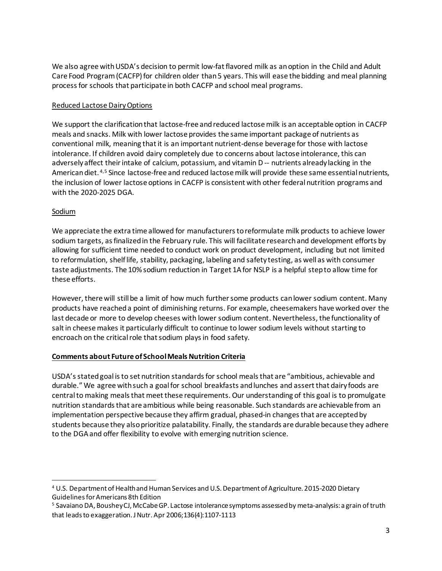We also agree with USDA's decision to permit low-fat flavored milk as an option in the Child and Adult Care Food Program (CACFP) for children older than 5 years. This will ease the bidding and meal planning process for schools that participate in both CACFP and school meal programs.

# Reduced Lactose Dairy Options

We support the clarification that lactose-free and reduced lactose milk is an acceptable option in CACFP meals and snacks. Milk with lower lactose provides the same important package of nutrients as conventional milk, meaning that it is an important nutrient-dense beverage for those with lactose intolerance. If children avoid dairy completely due to concerns about lactose intolerance, this can adversely affect their intake of calcium, potassium, and vitamin D -- nutrients already lacking in the American diet. [4](#page-2-0),[5](#page-2-1) Since lactose-free and reduced lactose milk will provide these same essential nutrients, the inclusion of lower lactose options in CACFP is consistent with other federal nutrition programs and with the 2020-2025 DGA.

## Sodium

We appreciate the extra time allowed for manufacturers to reformulate milk products to achieve lower sodium targets, as finalized in the February rule. This will facilitate research and development efforts by allowing for sufficient time needed to conduct work on product development, including but not limited to reformulation, shelf life, stability, packaging, labeling and safety testing, as well as with consumer taste adjustments. The 10% sodium reduction in Target 1A for NSLP is a helpful step to allow time for these efforts.

However, there will still be a limit of how much further some products can lower sodium content. Many products have reached a point of diminishing returns. For example, cheesemakers have worked over the last decade or more to develop cheeses with lower sodium content. Nevertheless, the functionality of salt in cheese makes it particularly difficult to continue to lower sodium levels without starting to encroach on the critical role that sodium plays in food safety.

## **Comments about Future of School Meals Nutrition Criteria**

USDA's stated goal is to set nutrition standards for school meals that are "ambitious, achievable and durable." We agree with such a goal for school breakfasts and lunches and assert that dairy foods are centralto making meals that meet these requirements. Our understanding of this goal is to promulgate nutrition standards that are ambitious while being reasonable. Such standards are achievable from an implementation perspective because they affirm gradual, phased-in changes that are accepted by students because they also prioritize palatability. Finally, the standards are durable because they adhere to the DGA and offer flexibility to evolve with emerging nutrition science.

<span id="page-2-0"></span><sup>4</sup> U.S. Department of Health and Human Services and U.S. Department of Agriculture. 2015-2020 Dietary Guidelines for Americans 8th Edition

<span id="page-2-1"></span><sup>5</sup> Savaiano DA, Boushey CJ, McCabe GP. Lactose intolerance symptoms assessed by meta-analysis: a grain of truth that leads to exaggeration. J Nutr. Apr 2006;136(4):1107-1113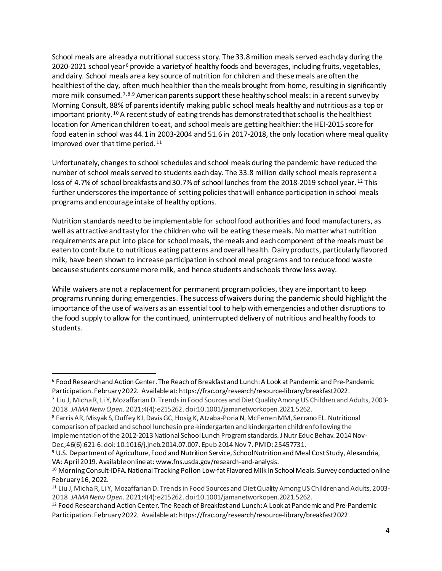School meals are already a nutritional success story. The 33.8 million meals served each day during the 2020-2021 school year<sup>[6](#page-3-0)</sup> provide a variety of healthy foods and beverages, including fruits, vegetables, and dairy. School meals are a key source of nutrition for children and these meals are often the healthiest of the day, often much healthier than the meals brought from home, resulting in significantly more milk consumed.  $7,8,9$  $7,8,9$  $7,8,9$  $7,8,9$  $7,8,9$  American parents support these healthy school meals: in a recent survey by Morning Consult, 88% of parents identify making public school meals healthy and nutritious as a top or important priority. [10](#page-3-4) A recent study of eating trends has demonstrated that school is the healthiest location for American children to eat, and school meals are getting healthier: the HEI-2015 score for food eaten in school was 44.1 in 2003-2004 and 51.6 in 2017-2018, the only location where meal quality improved over that time period. [11](#page-3-5)

Unfortunately, changes to school schedules and school meals during the pandemic have reduced the number of school meals served to students each day. The 33.8 million daily school meals represent a loss of 4.7% of school breakfasts and 30.7% of school lunches from the 2018-2019 school year. [12](#page-3-6) This further underscores the importance of setting policies that will enhance participation in school meals programs and encourage intake of healthy options.

Nutrition standards need to be implementable for school food authorities and food manufacturers, as well as attractive and tasty for the children who will be eating these meals. No matter what nutrition requirements are put into place for school meals, the meals and each component of the meals must be eaten to contribute to nutritious eating patterns and overall health. Dairy products, particularly flavored milk, have been shown to increase participation in school meal programs and to reduce food waste because students consume more milk, and hence students and schools throw less away.

While waivers are not a replacement for permanent program policies, they are important to keep programs running during emergencies. The success of waivers during the pandemic should highlight the importance of the use of waivers as an essential tool to help with emergencies and other disruptions to the food supply to allow for the continued, uninterrupted delivery of nutritious and healthy foods to students.

<span id="page-3-0"></span><sup>6</sup> Food Research and Action Center. The Reach of Breakfast and Lunch: A Look at Pandemic and Pre-Pandemic Participation. February 2022. Available at: https://frac.org/research/resource-library/breakfast2022.

<span id="page-3-1"></span><sup>7</sup> Liu J, Micha R, Li Y, Mozaffarian D. Trends in Food Sources and Diet Quality Among US Children and Adults, 2003- 2018.*JAMA Netw Open.* 2021;4(4):e215262. doi:10.1001/jamanetworkopen.2021.5262.

<span id="page-3-2"></span><sup>8</sup> Farris AR, Misyak S, Duffey KJ, Davis GC, Hosig K, Atzaba-Poria N, McFerren MM, Serrano EL. Nutritional comparison of packed and school lunches in pre-kindergarten and kindergarten children following the implementation of the 2012-2013 National School Lunch Program standards. J Nutr Educ Behav. 2014 Nov-Dec;46(6):621-6. doi: 10.1016/j.jneb.2014.07.007. Epub 2014 Nov 7. PMID: 25457731.

<span id="page-3-3"></span><sup>9</sup> U.S. Department of Agriculture, Food and Nutrition Service, School Nutrition and Meal Cost Study, Alexandria, VA: April 2019. Available online at: www.fns.usda.gov/research-and-analysis.

<span id="page-3-4"></span><sup>&</sup>lt;sup>10</sup> Morning Consult-IDFA. National Tracking Poll on Low-fat Flavored Milk in School Meals. Survey conducted online February 16, 2022.

<span id="page-3-5"></span><sup>11</sup> Liu J, Micha R, Li Y, Mozaffarian D. Trends in Food Sources and Diet Quality Among US Children and Adults, 2003- 2018.*JAMA Netw Open.* 2021;4(4):e215262. doi:10.1001/jamanetworkopen.2021.5262.

<span id="page-3-6"></span><sup>12</sup> Food Research and Action Center. The Reach of Breakfast and Lunch: A Look at Pandemic and Pre-Pandemic Participation. February 2022. Available at: https://frac.org/research/resource-library/breakfast2022.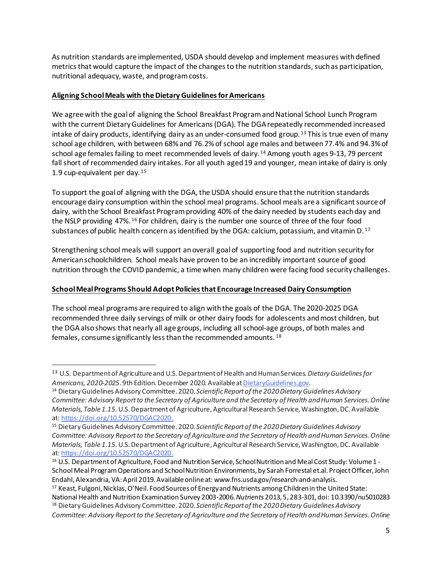As nutrition standards are implemented, USDA should develop and implement measures with defined metrics that would capture the impact of the changes to the nutrition standards, such as participation, nutritional adequacy, waste, and program costs.

# **Aligning School Meals with the Dietary Guidelines for Americans**

We agree with the goal of aligning the School Breakfast Program and National School Lunch Program with the current Dietary Guidelines for Americans(DGA). The DGArepeatedly recommended increased intake of dairy products, identifying dairy as an under-consumed food group.<sup>[13](#page-4-0)</sup> This is true even of many school age children, with between 68% and 76.2% of school age males and between 77.4% and 94.3% of school age females failing to meet recommended levels of dairy. [14](#page-4-1) Among youth ages 9-13, 79 percent fall short of recommended dairy intakes. For all youth aged 19 and younger, mean intake of dairy is only 1.9 cup-equivalent per day. [15](#page-4-2)

To support the goal of aligning with the DGA, the USDA should ensure that the nutrition standards encourage dairy consumption within the school meal programs. School meals are a significant source of dairy, with the School Breakfast Program providing 40% of the dairy needed by students each day and the NSLP providing 47%. [16](#page-4-3) For children, dairy is the number one source of three of the four food substances of public health concern as identified by the DGA: calcium, potassium, and vitamin  $D^{17}$ 

Strengthening school meals will support an overall goal of supporting food and nutrition security for American schoolchildren. School meals have proven to be an incredibly important source of good nutrition through the COVID pandemic, a time when many children were facing food security challenges.

# **School Meal Programs Should Adopt Policies that Encourage Increased Dairy Consumption**

The school meal programs are required to align with the goals of the DGA. The 2020-2025 DGA recommended three daily servings of milk or other dairy foods for adolescents and most children, but the DGA also shows that nearly all age groups, including all school-age groups, of both males and females, consume significantly less than the recommended amounts. [18](#page-4-5)

<span id="page-4-0"></span><sup>13</sup> U.S. Department of Agriculture and U.S.Department of Health and Human Services.*Dietary Guidelines for Americans, 2020-2025*. 9th Edition. December 2020. Available a[tDietaryGuidelines.gov](https://www.dietaryguidelines.gov/).

<span id="page-4-1"></span><sup>14</sup> Dietary Guidelines Advisory Committee. 2020. *Scientific Report of the 2020 Dietary Guidelines Advisory Committee: Advisory Report to the Secretary of Agriculture and the Secretary of Health and Human Services.Online Materials, Table 1.15.* U.S. Department of Agriculture, Agricultural Research Service, Washington, DC. Available at: [https://doi.org/10.52570/DGAC2020](https://gcc02.safelinks.protection.outlook.com/?url=https%3A%2F%2Fdoi.org%2F10.52570%2FDGAC2020&data=04%7C01%7C%7C1def88e633a84075d74308d9b6a701a5%7Ced5b36e701ee4ebc867ee03cfa0d4697%7C0%7C0%7C637741650667058549%7CUnknown%7CTWFpbGZsb3d8eyJWIjoiMC4wLjAwMDAiLCJQIjoiV2luMzIiLCJBTiI6Ik1haWwiLCJXVCI6Mn0%3D%7C3000&sdata=xQTnTwBtFERzcBsE704YxcPSj%2FLc%2BRf8ttP8yJCTiq4%3D&reserved=0).

<span id="page-4-2"></span><sup>15</sup> Dietary Guidelines Advisory Committee. 2020. *Scientific Report of the 2020 Dietary Guidelines Advisory Committee: Advisory Report to the Secretary of Agriculture and the Secretary of Health and Human Services.Online Materials, Table 1.15.* U.S. Department of Agriculture, Agricultural Research Service, Washington, DC. Available at: [https://doi.org/10.52570/DGAC2020](https://gcc02.safelinks.protection.outlook.com/?url=https%3A%2F%2Fdoi.org%2F10.52570%2FDGAC2020&data=04%7C01%7C%7C1def88e633a84075d74308d9b6a701a5%7Ced5b36e701ee4ebc867ee03cfa0d4697%7C0%7C0%7C637741650667058549%7CUnknown%7CTWFpbGZsb3d8eyJWIjoiMC4wLjAwMDAiLCJQIjoiV2luMzIiLCJBTiI6Ik1haWwiLCJXVCI6Mn0%3D%7C3000&sdata=xQTnTwBtFERzcBsE704YxcPSj%2FLc%2BRf8ttP8yJCTiq4%3D&reserved=0).

<span id="page-4-3"></span><sup>&</sup>lt;sup>16</sup> U.S. Department of Agriculture, Food and Nutrition Service, School Nutrition and Meal Cost Study: Volume 1 -School Meal Program Operations and School Nutrition Environments, by Sarah Forrestal et.al. Project Officer, John Endahl, Alexandria, VA: April 2019. Available online at: www.fns.usda.gov/research-and-analysis.

<span id="page-4-4"></span><sup>17</sup> Keast, Fulgoni, Nicklas, O'Neil. Food Sources of Energy and Nutrients among Children in the United State: National Health and Nutrition Examination Survey 2003-2006. *Nutrients* 2013, 5, 283-301, doi: 10.3390/nu5010283 <sup>18</sup> Dietary Guidelines Advisory Committee. 2020. *Scientific Report of the 2020 Dietary Guidelines Advisory* 

<span id="page-4-5"></span>*Committee: Advisory Report to the Secretary of Agriculture and the Secretary of Health and Human Services.Online*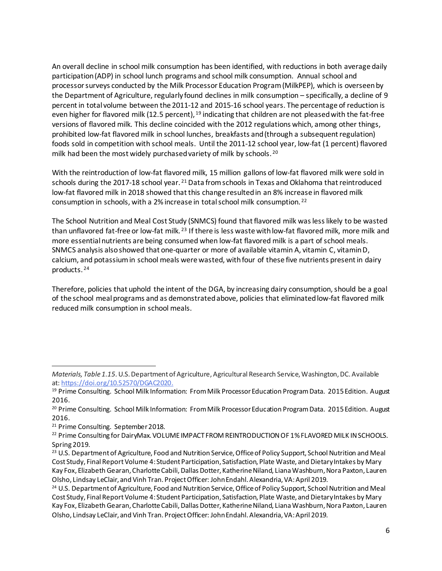An overall decline in school milk consumption has been identified, with reductions in both average daily participation (ADP) in school lunch programs and school milk consumption. Annual school and processor surveys conducted by the Milk Processor Education Program (MilkPEP), which is overseen by the Department of Agriculture, regularly found declines in milk consumption – specifically, a decline of 9 percent in total volume between the 2011-12 and 2015-16 school years. The percentage of reduction is even higher for flavored milk (12.5 percent), <sup>[19](#page-5-0)</sup> indicating that children are not pleased with the fat-free versions of flavored milk. This decline coincided with the 2012 regulations which, among other things, prohibited low-fat flavored milk in school lunches, breakfasts and (through a subsequent regulation) foods sold in competition with school meals. Until the 2011-12 school year, low-fat (1 percent) flavored milk had been the most widely purchased variety of milk by schools.<sup>20</sup>

With the reintroduction of low-fat flavored milk, 15 million gallons of low-fat flavored milk were sold in schools during the 2017-18 school year. <sup>[21](#page-5-2)</sup> Data from schools in Texas and Oklahoma that reintroduced low-fat flavored milk in 2018 showed that this change resulted in an 8% increase in flavored milk consumption in schools, with a 2% increase in total school milk consumption. [22](#page-5-3) 

The School Nutrition and Meal Cost Study (SNMCS) found that flavored milk was less likely to be wasted than unflavored fat-free or low-fat milk. [23](#page-5-4) If there is less waste with low-fat flavored milk, more milk and more essential nutrients are being consumed when low-fat flavored milk is a part of school meals. SNMCS analysis also showed that one-quarter or more of available vitamin A, vitamin C, vitamin D, calcium, and potassium in school meals were wasted, with four of these five nutrients present in dairy products. [24](#page-5-5)

Therefore, policies that uphold the intent of the DGA, by increasing dairy consumption, should be a goal of the school meal programs and as demonstrated above, policies that eliminated low-fat flavored milk reduced milk consumption in school meals.

*Materials, Table 1.15.* U.S. Department of Agriculture, Agricultural Research Service, Washington, DC. Available at: [https://doi.org/10.52570/DGAC2020](https://gcc02.safelinks.protection.outlook.com/?url=https%3A%2F%2Fdoi.org%2F10.52570%2FDGAC2020&data=04%7C01%7C%7C1def88e633a84075d74308d9b6a701a5%7Ced5b36e701ee4ebc867ee03cfa0d4697%7C0%7C0%7C637741650667058549%7CUnknown%7CTWFpbGZsb3d8eyJWIjoiMC4wLjAwMDAiLCJQIjoiV2luMzIiLCJBTiI6Ik1haWwiLCJXVCI6Mn0%3D%7C3000&sdata=xQTnTwBtFERzcBsE704YxcPSj%2FLc%2BRf8ttP8yJCTiq4%3D&reserved=0).

<span id="page-5-0"></span><sup>&</sup>lt;sup>19</sup> Prime Consulting. School Milk Information: From Milk Processor Education Program Data. 2015 Edition. August 2016.

<span id="page-5-1"></span><sup>&</sup>lt;sup>20</sup> Prime Consulting. School Milk Information: From Milk Processor Education Program Data. 2015 Edition. August 2016.

<span id="page-5-2"></span><sup>&</sup>lt;sup>21</sup> Prime Consulting. September 2018.

<span id="page-5-3"></span><sup>&</sup>lt;sup>22</sup> Prime Consulting for DairyMax. VOLUME IMPACT FROM REINTRODUCTION OF 1% FLAVORED MILK IN SCHOOLS. Spring 2019.

<span id="page-5-4"></span><sup>&</sup>lt;sup>23</sup> U.S. Department of Agriculture, Food and Nutrition Service, Office of Policy Support, School Nutrition and Meal Cost Study, Final Report Volume 4: Student Participation, Satisfaction, Plate Waste, and Dietary Intakes by Mary Kay Fox, Elizabeth Gearan, Charlotte Cabili, Dallas Dotter, Katherine Niland, Liana Washburn, Nora Paxton, Lauren Olsho, Lindsay LeClair, and Vinh Tran. Project Officer: John Endahl. Alexandria, VA: April 2019.

<span id="page-5-5"></span><sup>&</sup>lt;sup>24</sup> U.S. Department of Agriculture, Food and Nutrition Service, Office of Policy Support, School Nutrition and Meal Cost Study, Final Report Volume 4: Student Participation, Satisfaction, Plate Waste, and Dietary Intakes by Mary Kay Fox, Elizabeth Gearan, Charlotte Cabili, Dallas Dotter, Katherine Niland, Liana Washburn, Nora Paxton, Lauren Olsho, Lindsay LeClair, and Vinh Tran. Project Officer: John Endahl. Alexandria, VA: April 2019.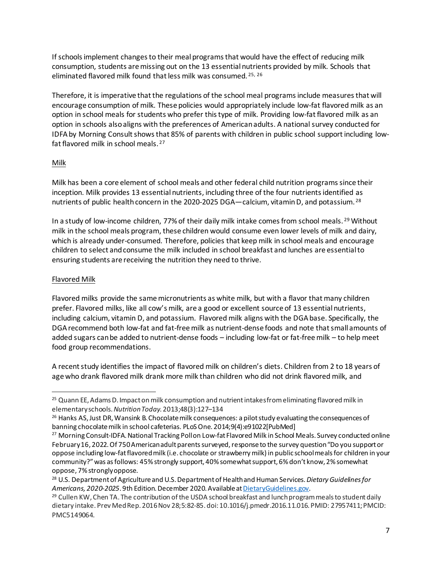If schools implement changes to their meal programs that would have the effect of reducing milk consumption, students are missing out on the 13 essential nutrients provided by milk. Schools that eliminated flavored milk found that less milk was consumed. [25,](#page-6-0) [26](#page-6-1)

Therefore, it is imperative that the regulations of the school meal programs include measures that will encourage consumption of milk. These policies would appropriately include low-fat flavored milk as an option in school meals for students who prefer this type of milk. Providing low-fat flavored milk as an option in schools also aligns with the preferences of American adults. A national survey conducted for IDFA by Morning Consult shows that 85% of parents with children in public school support including lowfat flavored milk in school meals. [27](#page-6-2) 

## Milk

Milk has been a core element of school meals and other federal child nutrition programs since their inception. Milk provides 13 essential nutrients, including three of the four nutrients identified as nutrients of public health concern in the 2020-2025 DGA—calcium, vitamin D, and potassium. [28](#page-6-3)

In a study of low-income children, 77% of their daily milk intake comes from school meals.<sup>[29](#page-6-4)</sup> Without milk in the school meals program, these children would consume even lower levels of milk and dairy, which is already under-consumed. Therefore, policies that keep milk in school meals and encourage children to select and consume the milk included in school breakfast and lunches are essential to ensuring students are receiving the nutrition they need to thrive.

### Flavored Milk

Flavored milks provide the same micronutrients as white milk, but with a flavor that many children prefer. Flavored milks, like all cow's milk, are a good or excellent source of 13 essential nutrients, including calcium, vitamin D, and potassium. Flavored milk aligns with the DGAbase. Specifically, the DGA recommend both low-fat and fat-free milk as nutrient-dense foods and note that small amounts of added sugars can be added to nutrient-dense foods – including low-fat or fat-free milk – to help meet food group recommendations.

A recent study identifies the impact of flavored milk on children's diets. Children from 2 to 18 years of age who drank flavored milk drank more milk than children who did not drink flavored milk, and

<span id="page-6-0"></span><sup>&</sup>lt;sup>25</sup> Quann EE, Adams D. Impact on milk consumption and nutrient intakes from eliminating flavored milk in elementary schools.*NutritionToday*. 2013;48(3):127–134

<span id="page-6-1"></span><sup>&</sup>lt;sup>26</sup> Hanks AS, Just DR, Wansink B. Chocolate milk consequences: a pilot study evaluating the consequences of banning chocolate milk in school cafeterias. PLoS One. 2014;9(4):e91022[PubMed]

<span id="page-6-2"></span><sup>&</sup>lt;sup>27</sup> Morning Consult-IDFA. National Tracking Poll on Low-fat Flavored Milk in School Meals. Survey conducted online February 16, 2022.Of 750 American adult parents surveyed, response to the survey question "Do you support or oppose including low-fat flavored milk (i.e. chocolate or strawberry milk) in public school meals for children in your community?" was as follows: 45% strongly support, 40% somewhat support, 6% don't know, 2% somewhat oppose, 7% strongly oppose.<br><sup>28</sup> U.S. Department of Agriculture and U.S. Department of Health and Human Services. *Dietary Guidelines for* 

<span id="page-6-3"></span>

<span id="page-6-4"></span>*Americans, 2020-2025*. 9th Edition. December 2020. Available at <u>DietaryGuidelines.gov</u>.<br><sup>29</sup> Cullen KW, Chen TA. The contribution of the USDA school breakfast and lunch program meals to student daily dietary intake. Prev Med Rep. 2016 Nov 28;5:82-85. doi: 10.1016/j.pmedr.2016.11.016. PMID: 27957411; PMCID: PMC5149064.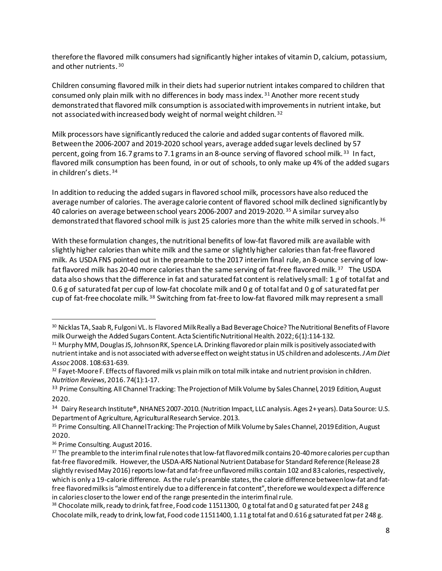therefore the flavored milk consumers had significantly higher intakes of vitamin D, calcium, potassium, and other nutrients. [30](#page-7-0)

Children consuming flavored milk in their diets had superior nutrient intakes compared to children that consumed only plain milk with no differences in body mass index.<sup>[31](#page-7-1)</sup> Another more recent study demonstrated that flavored milk consumption is associated with improvements in nutrient intake, but not associated with increased body weight of normal weight children. [32](#page-7-2)

Milk processors have significantly reduced the calorie and added sugar contents of flavored milk. Between the 2006-2007 and 2019-2020 school years, average added sugar levels declined by 57 percent, going from 16.7 grams to 7.1 grams in an 8-ounce serving of flavored school milk.<sup>[33](#page-7-3)</sup> In fact, flavored milk consumption has been found, in or out of schools, to only make up 4% of the added sugars in children's diets. [34](#page-7-4)

In addition to reducing the added sugars in flavored school milk, processors have also reduced the average number of calories. The average calorie content of flavored school milk declined significantly by 40 calories on average between school years 2006-2007 and 2019-2020. [35](#page-7-5) A similar survey also demonstrated that flavored school milk is just 25 calories more than the white milk served in schools. <sup>[36](#page-7-6)</sup>

With these formulation changes, the nutritional benefits of low-fat flavored milk are available with slightly higher calories than white milk and the same or slightly higher calories than fat-free flavored milk. As USDAFNS pointed out in the preamble to the 2017 interim final rule, an 8-ounce serving of low-fat flavored milk has 20-40 more calories than the same serving of fat-free flavored milk.<sup>[37](#page-7-7)</sup> The USDA data also shows that the difference in fat and saturated fat content is relatively small: 1 g of total fat and 0.6 g of saturated fat per cup of low-fat chocolate milk and 0 g of total fat and 0 g of saturated fat per cup of fat-free chocolate milk. [38](#page-7-8) Switching from fat-free to low-fat flavored milk may represent a small

<span id="page-7-0"></span><sup>30</sup> Nicklas TA, Saab R, Fulgoni VL. Is Flavored Milk Really a Bad Beverage Choice? The Nutritional Benefits of Flavore milk Ourweigh the Added Sugars Content. Acta Scientific Nutritional Health. 2022; 6(1):114-132.

<span id="page-7-1"></span><sup>&</sup>lt;sup>31</sup> Murphy MM, Douglas JS, Johnson RK, Spence LA. Drinking flavored or plain milk is positively associated with nutrient intake and is not associated with adverse effect on weight status in US children and adolescents. *J Am Diet Assoc*2008. 108:631-639.

<span id="page-7-2"></span><sup>&</sup>lt;sup>32</sup> Fayet-Moore F. Effects of flavored milk vs plain milk on total milk intake and nutrient provision in children. *Nutrition Reviews*, 2016. 74(1):1-17.

<span id="page-7-3"></span><sup>&</sup>lt;sup>33</sup> Prime Consulting. All Channel Tracking: The Projection of Milk Volume by Sales Channel, 2019 Edition, August 2020.

<span id="page-7-4"></span><sup>34</sup> Dairy Research Institute®, NHANES 2007-2010. (Nutrition Impact, LLC analysis. Ages 2+ years). Data Source: U.S. Department of Agriculture, Agricultural Research Service. 2013.

<span id="page-7-5"></span><sup>&</sup>lt;sup>35</sup> Prime Consulting. All Channel Tracking: The Projection of Milk Volume by Sales Channel, 2019 Edition, August 2020.

<span id="page-7-6"></span><sup>&</sup>lt;sup>36</sup> Prime Consulting. August 2016.

<span id="page-7-7"></span><sup>&</sup>lt;sup>37</sup> The preamble to the interim final rule notes that low-fat flavored milk contains 20-40 more calories per cup than fat-free flavored milk. However, the USDA-ARS National Nutrient Database for Standard Reference (Release 28 slightly revised May 2016) reports low-fat and fat-free unflavored milks contain 102 and 83 calories, respectively, which is only a 19-calorie difference. As the rule's preamble states, the calorie difference between low-fat and fatfree flavored milks is "almost entirely due to a difference in fat content", therefore we would expect a difference in calories closer to the lower end of the range presented in the interim final rule.<br><sup>38</sup> Chocolate milk, ready to drink, fat free, Food code 11511300, 0 g total fat and 0 g saturated fat per 248 g

<span id="page-7-8"></span>Chocolate milk, ready to drink, low fat, Food code 11511400, 1.11 g total fat and 0.616 g saturated fat per 248 g.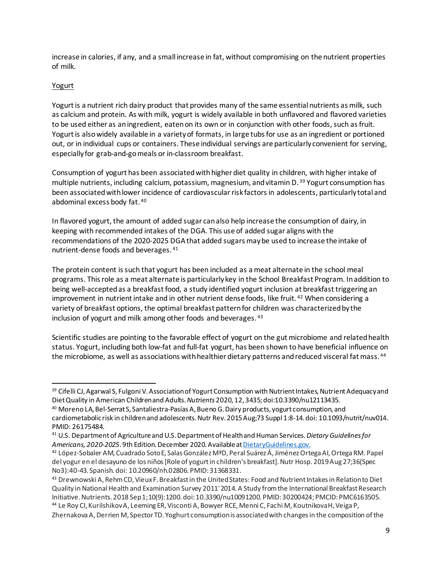increase in calories, if any, and a small increase in fat, without compromising on the nutrient properties of milk.

# Yogurt

Yogurt is a nutrient rich dairy product that provides many of the same essential nutrients as milk, such as calcium and protein. As with milk, yogurt is widely available in both unflavored and flavored varieties to be used either as an ingredient, eaten on its own or in conjunction with other foods, such as fruit. Yogurt is also widely available in a variety of formats, in large tubs for use as an ingredient or portioned out, or in individual cups or containers. These individual servings are particularly convenient for serving, especially for grab-and-go meals or in-classroom breakfast.

Consumption of yogurt has been associated with higher diet quality in children, with higher intake of multiple nutrients, including calcium, potassium, magnesium, and vitamin D.<sup>[39](#page-8-0)</sup> Yogurt consumption has been associated with lower incidence of cardiovascular risk factors in adolescents, particularly total and abdominal excess body fat. [40](#page-8-1)

In flavored yogurt, the amount of added sugar can also help increase the consumption of dairy, in keeping with recommended intakes of the DGA. This use of added sugar aligns with the recommendations of the 2020-2025 DGA that added sugars may be used to increase the intake of nutrient-dense foods and beverages. [41](#page-8-2)

The protein content is such that yogurt has been included as a meat alternate in the school meal programs. This role as a meat alternate is particularly key in the School Breakfast Program. In addition to being well-accepted as a breakfast food, a study identified yogurt inclusion at breakfast triggering an improvement in nutrient intake and in other nutrient dense foods, like fruit.<sup>[42](#page-8-3)</sup> When considering a variety of breakfast options, the optimal breakfast pattern for children was characterized by the inclusion of yogurt and milk among other foods and beverages. [43](#page-8-4) 

Scientific studies are pointing to the favorable effect of yogurt on the gut microbiome and related health status. Yogurt, including both low-fat and full-fat yogurt, has been shown to have beneficial influence on the microbiome, as well as associations with healthier dietary patterns and reduced visceral fat mass. [44](#page-8-5)

<span id="page-8-0"></span><sup>&</sup>lt;sup>39</sup> Cifelli CJ, Agarwal S, Fulgoni V. Association of Yogurt Consumption with Nutrient Intakes, Nutrient Adequacy and Diet Quality in American Children and Adults. *Nutrients* 2020, 12, 3435; doi:10.3390/nu12113435. 40 Moreno LA, Bel-Serrat S, Santaliestra-Pasías A, Bueno G. Dairy products, yogurt consumption, and

<span id="page-8-1"></span>cardiometabolic risk in children and adolescents. Nutr Rev. 2015 Aug;73 Suppl 1:8-14. doi: 10.1093/nutrit/nuv014. PMID: 26175484. 41 U.S. Department of Agriculture and U.S.Department of Health and Human Services.*Dietary Guidelines for* 

<span id="page-8-2"></span>Americans, 2020-2025. 9th Edition. December 2020. Available at DietaryGuidelines.gov.

<span id="page-8-3"></span><sup>42</sup> López-Sobaler AM, Cuadrado Soto E, Salas González MªD, Peral Suárez Á, Jiménez Ortega AI, Ortega RM. Papel del yogur en el desayuno de los niños [Role of yogurt in children's breakfast]. Nutr Hosp. 2019 Aug 27;36(Spec No3):40-43. Spanish. doi: 10.20960/nh.02806. PMID: 31368331.

<span id="page-8-4"></span><sup>43</sup> Drewnowski A, Rehm CD, Vieux F. Breakfast in the United States: Food and Nutrient Intakes in Relation to Diet Quality in National Health and Examination Survey 2011<sup>-</sup>2014. A Study from the International Breakfast Research Initiative. Nutrients. 2018 Sep 1;10(9):1200. doi: 10.3390/nu10091200. PMID: 30200424; PMCID: PMC6163505. <sup>44</sup> Le Roy CI, Kurilshikov A, Leeming ER, Visconti A, Bowyer RCE, Menni C, Fachi M, Koutnikova H, Veiga P,

<span id="page-8-5"></span>Zhernakova A, Derrien M, Spector TD. Yoghurt consumption is associated with changes in the composition of the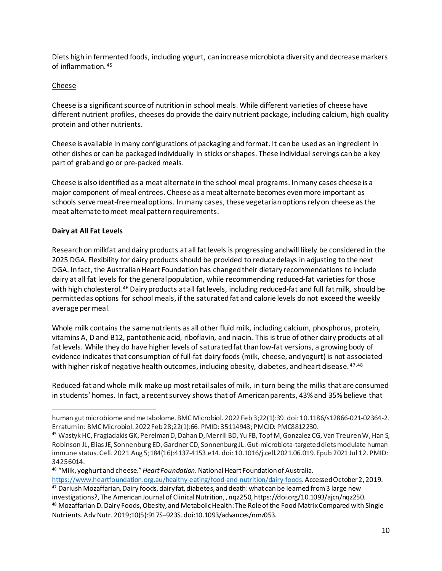Diets high in fermented foods, including yogurt, can increase microbiota diversity and decrease markers of inflammation. [45](#page-9-0)

## Cheese

Cheese is a significant source of nutrition in school meals. While different varieties of cheese have different nutrient profiles, cheeses do provide the dairy nutrient package, including calcium, high quality protein and other nutrients.

Cheese is available in many configurations of packaging and format. It can be used as an ingredient in other dishes or can be packaged individually in sticks or shapes. These individual servings can be a key part of grab and go or pre-packed meals.

Cheese is also identified as a meat alternate in the school meal programs. In many cases cheese is a major component of meal entrees. Cheese as a meat alternate becomes even more important as schools serve meat-free meal options. In many cases, these vegetarian options rely on cheese as the meat alternate to meet meal pattern requirements.

## **Dairy at All Fat Levels**

Research on milkfat and dairy products at all fat levels is progressing and will likely be considered in the 2025 DGA. Flexibility for dairy products should be provided to reduce delays in adjusting to the next DGA. In fact, the Australian Heart Foundation has changed their dietary recommendations to include dairy at all fat levels for the general population, while recommending reduced-fat varieties for those with high cholesterol. [46](#page-9-1) Dairy products at all fat levels, including reduced-fat and full fat milk, should be permitted as options for school meals, if the saturated fat and calorie levels do not exceedthe weekly average per meal.

Whole milk contains the same nutrients as all other fluid milk, including calcium, phosphorus, protein, vitamins A, D and B12, pantothenic acid, riboflavin, and niacin. This is true of other dairy products at all fat levels. While they do have higher levels of saturated fat than low-fat versions, a growing body of evidence indicates that consumption of full-fat dairy foods (milk, cheese, and yogurt) is not associated with higher risk of negative health outcomes, including obesity, diabetes, and heart disease.  $47,48$  $47,48$ 

Reduced-fat and whole milk make up most retail sales of milk, in turn being the milks that are consumed in students' homes. In fact, a recent survey shows that of American parents, 43% and 35% believe that

human gut microbiome and metabolome. BMC Microbiol. 2022 Feb 3;22(1):39. doi: 10.1186/s12866-021-02364-2. Erratum in: BMC Microbiol. 2022 Feb 28;22(1):66. PMID: 35114943; PMCID: PMC8812230.

<span id="page-9-0"></span><sup>45</sup> Wastyk HC, Fragiadakis GK, Perelman D, Dahan D, Merrill BD, Yu FB, Topf M, Gonzalez CG, Van Treuren W, Han S, Robinson JL, Elias JE, Sonnenburg ED, Gardner CD, Sonnenburg JL. Gut-microbiota-targeted diets modulate human immune status. Cell. 2021 Aug 5;184(16):4137-4153.e14. doi: 10.1016/j.cell.2021.06.019. Epub 2021 Jul 12. PMID: 34256014.

<span id="page-9-1"></span><sup>46 &</sup>quot;Milk, yoghurt and cheese." *Heart Foundation.*National Heart Foundation of Australia. <https://www.heartfoundation.org.au/healthy-eating/food-and-nutrition/dairy-foods>. Accessed October 2, 2019.

<span id="page-9-3"></span><span id="page-9-2"></span><sup>47</sup> Dariush Mozaffarian, Dairy foods, dairy fat, diabetes, and death: what can be learned from 3 large new investigations?, The American Journal of Clinical Nutrition, , nqz250, https://doi.org/10.1093/ajcn/nqz250.<br><sup>48</sup> Mozaffarian D. Dairy Foods, Obesity, and Metabolic Health: The Role of the Food Matrix Compared with Single Nutrients. Adv Nutr. 2019;10(5):917S–923S. doi:10.1093/advances/nmz053.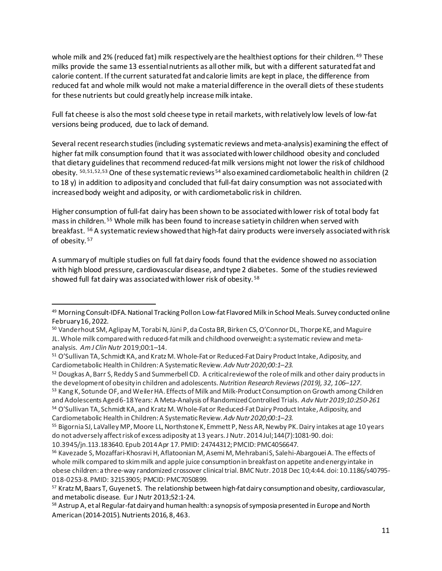whole milk and 2% (reduced fat) milk respectively are the healthiest options for their children. <sup>[49](#page-10-0)</sup> These milks provide the same 13 essential nutrients as all other milk, but with a different saturated fat and calorie content. If the current saturated fat and calorie limits are kept in place, the difference from reduced fat and whole milk would not make a material difference in the overall diets of these students for these nutrients but could greatly help increase milk intake.

Full fat cheese is also the most sold cheese type in retail markets, with relatively low levels of low-fat versions being produced, due to lack of demand.

Several recent research studies (including systematic reviews and meta-analysis) examining the effect of higher fat milk consumption found that it was associated with lower childhood obesity and concluded that dietary guidelines that recommend reduced-fat milk versions might not lower the risk of childhood obesity. [50](#page-10-1),[51,](#page-10-2)[52](#page-10-3),[53](#page-10-4) One of these systematic reviews [54](#page-10-5) also examined cardiometabolic health in children (2 to 18 y) in addition to adiposity and concluded that full-fat dairy consumption was not associated with increased body weight and adiposity, or with cardiometabolic risk in children.

Higher consumption of full-fat dairy has been shown to be associated with lower risk of total body fat mass in children. [55](#page-10-6) Whole milk has been found to increase satiety in children when served with breakfast. [56](#page-10-7) A systematic review showed that high-fat dairy products were inversely associated with risk of obesity. [57](#page-10-8)

A summary of multiple studies on full fat dairy foods found that the evidence showed no association with high blood pressure, cardiovascular disease, and type 2 diabetes. Some of the studies reviewed showed full fat dairy was associated with lower risk of obesity. [58](#page-10-9)

10.3945/jn.113.183640. Epub 2014 Apr 17. PMID: 24744312; PMCID: PMC4056647.

<span id="page-10-0"></span><sup>&</sup>lt;sup>49</sup> Morning Consult-IDFA. National Tracking Poll on Low-fat Flavored Milk in School Meals. Survey conducted online February 16, 2022.

<span id="page-10-1"></span><sup>&</sup>lt;sup>50</sup> Vanderhout SM, Aglipay M, Torabi N, Jüni P, da Costa BR, Birken CS, O'Connor DL, Thorpe KE, and Maguire JL. Whole milk compared with reduced-fat milk and childhood overweight: a systematic review and metaanalysis. *Am J Clin Nutr* 2019;00:1–14.

<span id="page-10-2"></span><sup>51</sup> O'Sullivan TA, Schmidt KA, and Kratz M. Whole-Fat or Reduced-Fat Dairy Product Intake, Adiposity, and Cardiometabolic Health in Children: A Systematic Review.*Adv Nutr 2020;00:1–23.*

<span id="page-10-4"></span><span id="page-10-3"></span><sup>&</sup>lt;sup>52</sup> Dougkas A, Barr S, Reddy S and Summerbell CD. A critical review of the role of milk and other dairy products in the development of obesity in children and adolescents.*Nutrition Research Reviews (2019), 32, 106–127.* 53 Kang K, Sotunde OF, and Weiler HA. Effects of Milk and Milk-Product Consumption on Growth among Children and Adolescents Aged 6-18 Years: A Meta-Analysis of Randomized Controlled Trials. *Adv Nutr 2019;10:250-261*

<span id="page-10-5"></span><sup>54</sup> O'Sullivan TA, Schmidt KA, and Kratz M. Whole-Fat or Reduced-Fat Dairy Product Intake, Adiposity, and Cardiometabolic Health in Children: A SystematicReview.*Adv Nutr 2020;00:1–23.*

<span id="page-10-6"></span><sup>55</sup> Bigornia SJ, LaValley MP, Moore LL, Northstone K, Emmett P, Ness AR, Newby PK. Dairy intakes at age 10 years do not adversely affect risk of excess adiposity at 13 years. J Nutr. 2014 Jul;144(7):1081-90. doi:

<span id="page-10-7"></span><sup>56</sup> Kavezade S, Mozaffari-Khosravi H, Aflatoonian M, Asemi M, Mehrabani S, Salehi-Abargouei A. The effects of whole milk compared to skim milk and apple juice consumption in breakfast on appetite and energy intake in obese children: a three-way randomized crossover clinical trial. BMC Nutr. 2018 Dec 10;4:44. doi: 10.1186/s40795- 018-0253-8. PMID: 32153905; PMCID: PMC7050899.

<span id="page-10-8"></span><sup>&</sup>lt;sup>57</sup> Kratz M, Baars T, Guyenet S. The relationship between high-fat dairy consumption and obesity, cardiovascular, and metabolic disease. Eur J Nutr 2013;52:1-24.

<span id="page-10-9"></span><sup>58</sup> Astrup A, et al Regular-fat dairy and human health: a synopsis of symposia presented in Europe and North American (2014-2015). Nutrients 2016, 8, 463.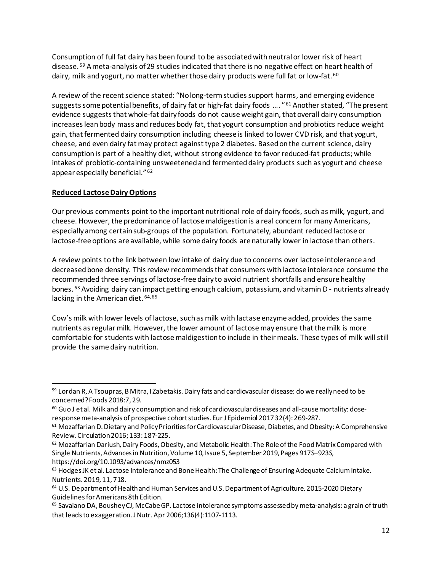Consumption of full fat dairy has been found to be associated with neutral or lower risk of heart disease. [59](#page-11-0) A meta-analysis of 29 studies indicated that there is no negative effect on heart health of dairy, milk and yogurt, no matter whether those dairy products were full fat or low-fat. <sup>60</sup>

A review of the recent science stated: "No long-term studies support harms, and emerging evidence suggests some potential benefits, of dairy fat or high-fat dairy foods .... "<sup>[61](#page-11-2)</sup> Another stated, "The present evidence suggests that whole-fat dairy foods do not cause weight gain, that overall dairy consumption increases lean body mass and reduces body fat, that yogurt consumption and probiotics reduce weight gain, that fermented dairy consumption including cheese is linked to lower CVD risk, and that yogurt, cheese, and even dairy fat may protect against type 2 diabetes. Based on the current science, dairy consumption is part of a healthy diet, without strong evidence to favor reduced-fat products; while intakes of probiotic-containing unsweetened and fermented dairy products such as yogurt and cheese appear especially beneficial." [62](#page-11-3)

### **Reduced Lactose Dairy Options**

Our previous comments point to the important nutritional role of dairy foods, such as milk, yogurt, and cheese. However, the predominance of lactose maldigestion is a real concern for many Americans, especially among certain sub-groups of the population. Fortunately, abundant reduced lactose or lactose-free options are available, while some dairy foods are naturally lower in lactose than others.

A review points to the link between low intake of dairy due to concerns over lactose intolerance and decreased bone density. This review recommends that consumers with lactose intolerance consume the recommended three servings of lactose-free dairy to avoid nutrient shortfalls and ensure healthy bones. [63](#page-11-4) Avoiding dairy can impact getting enough calcium, potassium, and vitamin D - nutrients already lacking in the American diet. [64,](#page-11-5)[65](#page-11-6)

Cow's milk with lower levels of lactose, such as milk with lactase enzyme added, provides the same nutrients as regular milk. However, the lower amount of lactose may ensure that the milk is more comfortable for students with lactose maldigestion to include in their meals. These types of milk will still provide the same dairy nutrition.

<span id="page-11-0"></span><sup>&</sup>lt;sup>59</sup> Lordan R, A Tsoupras, B Mitra, I Zabetakis. Dairy fats and cardiovascular disease: do we really need to be concerned? Foods 2018:7, 29.

<span id="page-11-1"></span> $60$  Guo J et al. Milk and dairy consumption and risk of cardiovascular diseases and all-cause mortality: doseresponse meta-analysis of prospective cohort studies. Eur J Epidemiol 2017 32(4): 269-287.

<span id="page-11-2"></span><sup>&</sup>lt;sup>61</sup> Mozaffarian D. Dietary and Policy Priorities for Cardiovascular Disease, Diabetes, and Obesity: A Comprehensive Review. Circulation 2016; 133: 187-225.

<span id="page-11-3"></span><sup>62</sup> Mozaffarian Dariush, Dairy Foods, Obesity, and Metabolic Health: The Role of the Food Matrix Compared with Single Nutrients, Advances in Nutrition, Volume 10, Issue 5, September 2019, Pages 917S–923S, https://doi.org/10.1093/advances/nmz053

<span id="page-11-4"></span><sup>63</sup> Hodges JK et al. Lactose Intolerance and Bone Health: The Challenge of Ensuring Adequate Calcium Intake. Nutrients. 2019, 11, 718.

<span id="page-11-5"></span><sup>64</sup> U.S. Department of Health and Human Services and U.S. Department of Agriculture. 2015-2020 Dietary

<span id="page-11-6"></span>Guidelines for Americans 8th Edition.<br><sup>65</sup> Savaiano DA, Boushey CJ, McCabe GP. Lactose intolerance symptoms assessed by meta-analysis: a grain of truth that leads to exaggeration. J Nutr. Apr 2006;136(4):1107-1113.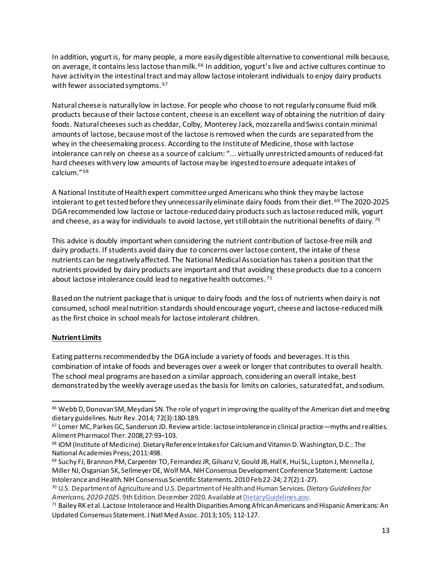In addition, yogurt is, for many people, a more easily digestible alternative to conventional milk because, on average, it contains less lactose than milk. [66](#page-12-0) In addition, yogurt's live and active cultures continue to have activity in the intestinal tract and may allow lactose intolerant individuals to enjoy dairy products with fewer associated symptoms. 67

Natural cheese is naturally low in lactose. For people who choose to not regularly consume fluid milk products because of their lactose content, cheese is an excellent way of obtaining the nutrition of dairy foods. Natural cheeses such as cheddar, Colby, Monterey Jack, mozzarella and Swiss contain minimal amounts of lactose, because most of the lactose is removed when the curds are separated from the whey in the cheesemaking process. According to the Institute of Medicine, those with lactose intolerance can rely on cheese as a source of calcium: "... virtually unrestricted amounts of reduced-fat hard cheeses with very low amounts of lactose may be ingested to ensure adequate intakes of calcium." [68](#page-12-2)

A National Institute of Health expert committee urged Americans who think they may be lactose intolerant to get tested before they unnecessarily eliminate dairy foods from their diet. [69](#page-12-3) The 2020-2025 DGArecommended low lactose or lactose-reduced dairy products such as lactose reduced milk, yogurt and cheese, as a way for individuals to avoid lactose, yet still obtain the nutritional benefits of dairy.<sup>[70](#page-12-4)</sup>

This advice is doubly important when considering the nutrient contribution of lactose-free milk and dairy products. If students avoid dairy due to concerns over lactose content, the intake of these nutrients can be negatively affected. The National Medical Association has taken a position that the nutrients provided by dairy products are important and that avoiding these products due to a concern about lactose intolerance could lead to negative health outcomes. [71](#page-12-5)

Based on the nutrient package that is unique to dairy foods and the loss of nutrients when dairy is not consumed, school meal nutrition standards should encourage yogurt, cheese and lactose-reduced milk as the first choice in school meals for lactose intolerant children.

## **Nutrient Limits**

Eating patterns recommended by the DGAinclude a variety of foods and beverages. It is this combination of intake of foods and beverages over a week or longer that contributes to overall health. The school meal programs are based on a similar approach, considering an overall intake, best demonstrated by the weekly average used as the basis for limits on calories, saturated fat, and sodium.

<span id="page-12-0"></span><sup>&</sup>lt;sup>66</sup> Webb D, Donovan SM, Meydani SN. The role of yogurt in improving the quality of the American diet and meeting dietary guidelines. Nutr Rev. 2014; 72(3):180-189. 69. Intolerance in clinical practice—myths and realities. 67 Lomer MC, Parkes GC, Sanderson JD. Review article: lactose intolerance in clinical practice—myths and realitie

<span id="page-12-1"></span>Aliment Pharmacol Ther. 2008;27:93–103.

<span id="page-12-2"></span><sup>68</sup> IOM (Institute of Medicine). Dietary Reference Intakes for Calcium and Vitamin D. Washington, D.C.: The National Academies Press; 2011:498.

<span id="page-12-3"></span><sup>69</sup> Suchy FJ, Brannon PM, Carpenter TO, Fernandez JR, Gilsanz V, Gould JB, Hall K, Hui SL, Lupton J, Mennella J, Miller NJ, Osganian SK, Sellmeyer DE, Wolf MA. NIH Consensus Development Conference Statement: Lactose Intolerance and Health. NIH Consensus Scientific Statements. 2010 Feb 22-24; 27(2):1-27).<br><sup>70</sup> U.S. Department of Agriculture and U.S. Department of Health and Human Services. *Dietary Guidelines for* 

<span id="page-12-4"></span>*Americans, 2020-2025.* 9th Edition. December 2020. Available at DietaryGuidelines.gov.

<span id="page-12-5"></span><sup>71</sup> Bailey RK et al. Lactose Intolerance and Health Disparities Among African Americans and Hispanic Americans: An Updated Consensus Statement. J Natl Med Assoc. 2013; 105; 112-127.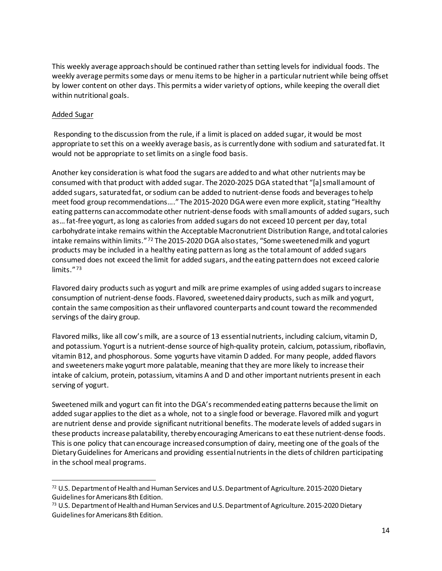This weekly average approach should be continued rather than setting levels for individual foods. The weekly average permits some days or menu items to be higher in a particular nutrient while being offset by lower content on other days. This permits a wider variety of options, while keeping the overall diet within nutritional goals.

#### Added Sugar

Responding to the discussion from the rule, if a limit is placed on added sugar, it would be most appropriate to set this on a weekly average basis, as is currently done with sodium and saturated fat. It would not be appropriate to set limits on a single food basis.

Another key consideration is what food the sugars are added to and what other nutrients may be consumed with that product with added sugar. The 2020-2025 DGA stated that "[a] small amount of added sugars, saturated fat, or sodium can be added to nutrient-dense foods and beverages to help meet food group recommendations…." The 2015-2020 DGA were even more explicit, stating "Healthy eating patterns can accommodate other nutrient-dense foods with small amounts of added sugars, such as… fat-free yogurt, as long as calories from added sugars do not exceed 10 percent per day, total carbohydrate intake remains within the Acceptable Macronutrient Distribution Range, andtotal calories intake remains within limits." [72](#page-13-0) The 2015-2020 DGA also states, "Some sweetened milk and yogurt products may be included in a healthy eating pattern as long as the total amount of added sugars consumed does not exceed the limit for added sugars, and the eating pattern does not exceed calorie limits." [73](#page-13-1)

Flavored dairy products such as yogurt and milk are prime examples of using added sugars to increase consumption of nutrient-dense foods. Flavored, sweetened dairy products, such as milk and yogurt, contain the same composition as their unflavored counterparts and count toward the recommended servings of the dairy group.

Flavored milks, like all cow's milk, are a source of 13 essential nutrients, including calcium, vitamin D, and potassium. Yogurt is a nutrient-dense source of high-quality protein, calcium, potassium, riboflavin, vitamin B12, and phosphorous. Some yogurts have vitamin D added. For many people, added flavors and sweeteners make yogurt more palatable, meaning that they are more likely to increase their intake of calcium, protein, potassium, vitamins A and D and other important nutrients present in each serving of yogurt.

Sweetened milk and yogurt can fit into the DGA's recommended eating patterns because the limit on added sugar applies to the diet as a whole, not to a single food or beverage. Flavored milk and yogurt are nutrient dense and provide significant nutritional benefits. The moderate levels of added sugars in these products increase palatability, thereby encouraging Americans to eat these nutrient-dense foods. This is one policy that can encourage increased consumption of dairy, meeting one of the goals of the Dietary Guidelines for Americans and providing essential nutrients in the diets of children participating in the school meal programs.

<span id="page-13-0"></span><sup>72</sup> U.S. Department of Health and Human Services and U.S. Department of Agriculture. 2015-2020 Dietary Guidelines for Americans 8th Edition.

<span id="page-13-1"></span><sup>&</sup>lt;sup>73</sup> U.S. Department of Health and Human Services and U.S. Department of Agriculture. 2015-2020 Dietary Guidelines for Americans 8th Edition.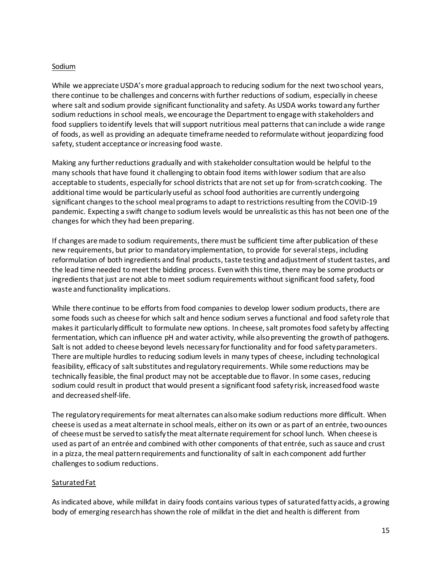#### Sodium

While we appreciate USDA's more gradual approach to reducing sodium for the next two school years, there continue to be challenges and concerns with further reductions of sodium, especially in cheese where salt and sodium provide significant functionality and safety. As USDA works toward any further sodium reductions in school meals, we encourage the Department to engage with stakeholders and food suppliers to identify levels that will support nutritious meal patterns that can include a wide range of foods, as well as providing an adequate timeframe needed to reformulate without jeopardizing food safety, student acceptance or increasing food waste.

Making any further reductions gradually and with stakeholder consultation would be helpful to the many schools that have found it challenging to obtain food items with lower sodium that are also acceptable to students, especially for school districts that are not set up for from-scratch cooking. The additional time would be particularly useful as school food authorities are currently undergoing significant changes to the school meal programs to adapt to restrictions resulting from the COVID-19 pandemic. Expecting a swift change to sodium levels would be unrealistic as this has not been one of the changes for which they had been preparing.

If changes are made to sodium requirements, there must be sufficient time after publication of these new requirements, but prior to mandatory implementation, to provide for severalsteps, including reformulation of both ingredients and final products, taste testing and adjustment of student tastes, and the lead time needed to meet the bidding process. Even with this time, there may be some products or ingredients that just are not able to meet sodium requirements without significant food safety, food waste and functionality implications.

While there continue to be efforts from food companies to develop lower sodium products, there are some foods such as cheese for which salt and hence sodium serves a functional and food safety role that makes it particularly difficult to formulate new options. In cheese, salt promotes food safety by affecting fermentation, which can influence pH and water activity, while also preventing the growth of pathogens. Salt is not added to cheese beyond levels necessary for functionality and for food safety parameters. There are multiple hurdles to reducing sodium levels in many types of cheese, including technological feasibility, efficacy of salt substitutes and regulatory requirements. While some reductions may be technically feasible, the final product may not be acceptable due to flavor. In some cases, reducing sodium could result in product that would present a significant food safety risk, increased food waste and decreased shelf-life.

The regulatory requirements for meat alternates can also make sodium reductions more difficult. When cheese is used as a meat alternate in school meals, either on its own or as part of an entrée, two ounces of cheese must be served to satisfy the meat alternate requirement for school lunch. When cheese is used as part of an entrée and combined with other components of that entrée, such as sauce and crust in a pizza, the meal pattern requirements and functionality of salt in each component add further challenges to sodium reductions.

#### Saturated Fat

As indicated above, while milkfat in dairy foods contains various types of saturated fatty acids, a growing body of emerging research has shown the role of milkfat in the diet and health is different from